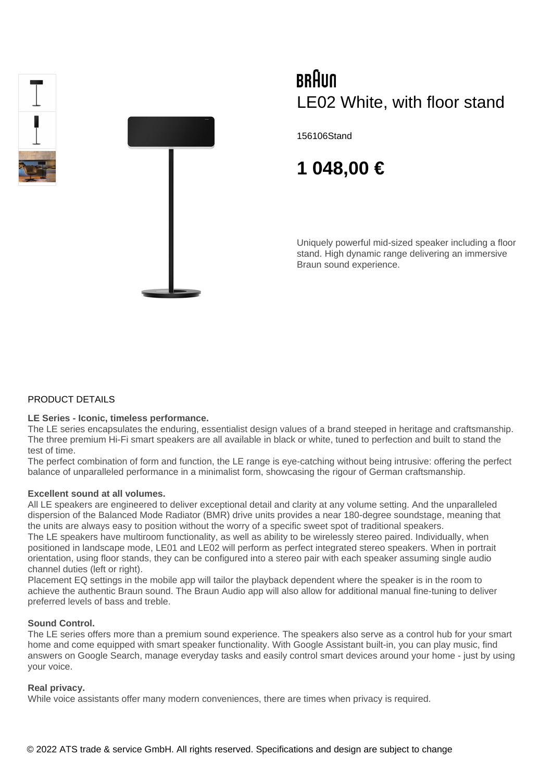



# BRAUN LE02 White, with floor stand

156106Stand

# **1 048,00 €**

Uniquely powerful mid-sized speaker including a floor stand. High dynamic range delivering an immersive Braun sound experience.

## PRODUCT DETAILS

### **LE Series - Iconic, timeless performance.**

The LE series encapsulates the enduring, essentialist design values of a brand steeped in heritage and craftsmanship. The three premium Hi-Fi smart speakers are all available in black or white, tuned to perfection and built to stand the test of time.

The perfect combination of form and function, the LE range is eye-catching without being intrusive: offering the perfect balance of unparalleled performance in a minimalist form, showcasing the rigour of German craftsmanship.

#### **Excellent sound at all volumes.**

All LE speakers are engineered to deliver exceptional detail and clarity at any volume setting. And the unparalleled dispersion of the Balanced Mode Radiator (BMR) drive units provides a near 180-degree soundstage, meaning that the units are always easy to position without the worry of a specific sweet spot of traditional speakers.

The LE speakers have multiroom functionality, as well as ability to be wirelessly stereo paired. Individually, when positioned in landscape mode, LE01 and LE02 will perform as perfect integrated stereo speakers. When in portrait orientation, using floor stands, they can be configured into a stereo pair with each speaker assuming single audio channel duties (left or right).

Placement EQ settings in the mobile app will tailor the playback dependent where the speaker is in the room to achieve the authentic Braun sound. The Braun Audio app will also allow for additional manual fine-tuning to deliver preferred levels of bass and treble.

### **Sound Control.**

The LE series offers more than a premium sound experience. The speakers also serve as a control hub for your smart home and come equipped with smart speaker functionality. With Google Assistant built-in, you can play music, find answers on Google Search, manage everyday tasks and easily control smart devices around your home - just by using your voice.

### **Real privacy.**

While voice assistants offer many modern conveniences, there are times when privacy is required.